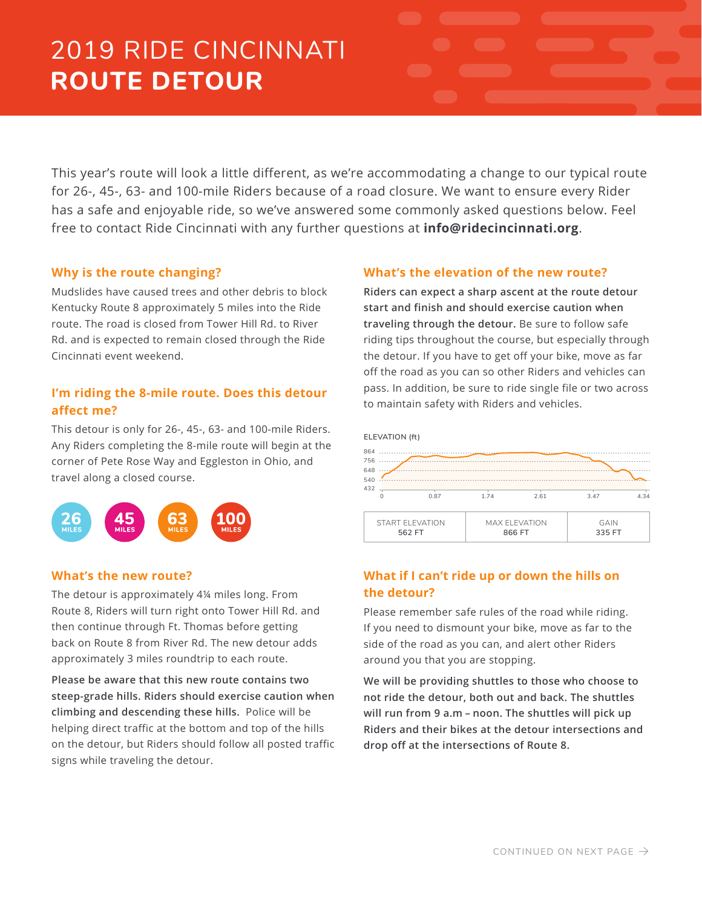# 2019 RIDE CINCINNATI **ROUTE DETOUR**

This year's route will look a little different, as we're accommodating a change to our typical route for 26-, 45-, 63- and 100-mile Riders because of a road closure. We want to ensure every Rider has a safe and enjoyable ride, so we've answered some commonly asked questions below. Feel free to contact Ride Cincinnati with any further questions at **info@ridecincinnati.org**.

# **Why is the route changing?**

Mudslides have caused trees and other debris to block Kentucky Route 8 approximately 5 miles into the Ride route. The road is closed from Tower Hill Rd. to River Rd. and is expected to remain closed through the Ride Cincinnati event weekend.

# **I'm riding the 8-mile route. Does this detour affect me?**

This detour is only for 26-, 45-, 63- and 100-mile Riders. Any Riders completing the 8-mile route will begin at the corner of Pete Rose Way and Eggleston in Ohio, and travel along a closed course.



## **What's the new route?**

The detour is approximately 4¼ miles long. From Route 8, Riders will turn right onto Tower Hill Rd. and then continue through Ft. Thomas before getting back on Route 8 from River Rd. The new detour adds approximately 3 miles roundtrip to each route.

**Please be aware that this new route contains two steep-grade hills. Riders should exercise caution when climbing and descending these hills.** Police will be helping direct traffic at the bottom and top of the hills on the detour, but Riders should follow all posted traffic signs while traveling the detour.

# **What's the elevation of the new route?**

**Riders can expect a sharp ascent at the route detour start and finish and should exercise caution when traveling through the detour.** Be sure to follow safe riding tips throughout the course, but especially through the detour. If you have to get off your bike, move as far off the road as you can so other Riders and vehicles can pass. In addition, be sure to ride single file or two across to maintain safety with Riders and vehicles.



# **What if I can't ride up or down the hills on the detour?**

Please remember safe rules of the road while riding. If you need to dismount your bike, move as far to the side of the road as you can, and alert other Riders around you that you are stopping.

**We will be providing shuttles to those who choose to not ride the detour, both out and back. The shuttles will run from 9 a.m – noon. The shuttles will pick up Riders and their bikes at the detour intersections and drop off at the intersections of Route 8.**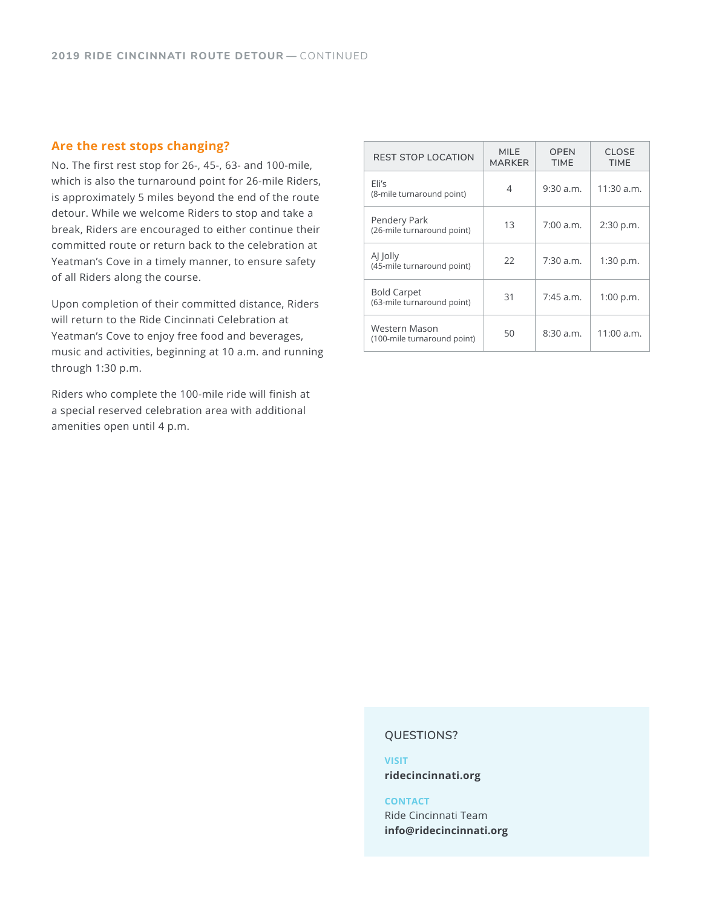# **Are the rest stops changing?**

No. The first rest stop for 26-, 45-, 63- and 100-mile, which is also the turnaround point for 26-mile Riders, is approximately 5 miles beyond the end of the route detour. While we welcome Riders to stop and take a break, Riders are encouraged to either continue their committed route or return back to the celebration at Yeatman's Cove in a timely manner, to ensure safety of all Riders along the course.

Upon completion of their committed distance, Riders will return to the Ride Cincinnati Celebration at Yeatman's Cove to enjoy free food and beverages, music and activities, beginning at 10 a.m. and running through 1:30 p.m.

Riders who complete the 100-mile ride will finish at a special reserved celebration area with additional amenities open until 4 p.m.

| <b>REST STOP LOCATION</b>                        | <b>MILE</b><br><b>MARKER</b> | <b>OPEN</b><br><b>TIME</b> | <b>CLOSE</b><br><b>TIME</b> |
|--------------------------------------------------|------------------------------|----------------------------|-----------------------------|
| Eli's<br>(8-mile turnaround point)               | 4                            | $9:30$ a.m.                | $11:30$ a.m.                |
| Pendery Park<br>(26-mile turnaround point)       | 13                           | 7:00 a.m.                  | 2:30 p.m.                   |
| AJ Jolly<br>(45-mile turnaround point)           | 22                           | $7:30$ a.m.                | 1:30 p.m.                   |
| <b>Bold Carpet</b><br>(63-mile turnaround point) | 31                           | $7:45$ a.m.                | 1:00 p.m.                   |
| Western Mason<br>(100-mile turnaround point)     | 50                           | 8:30 a.m.                  | $11:00$ a.m.                |

#### **QUESTIONS?**

### **VISIT ridecincinnati.org**

#### **CONTACT**

Ride Cincinnati Team **info@ridecincinnati.org**